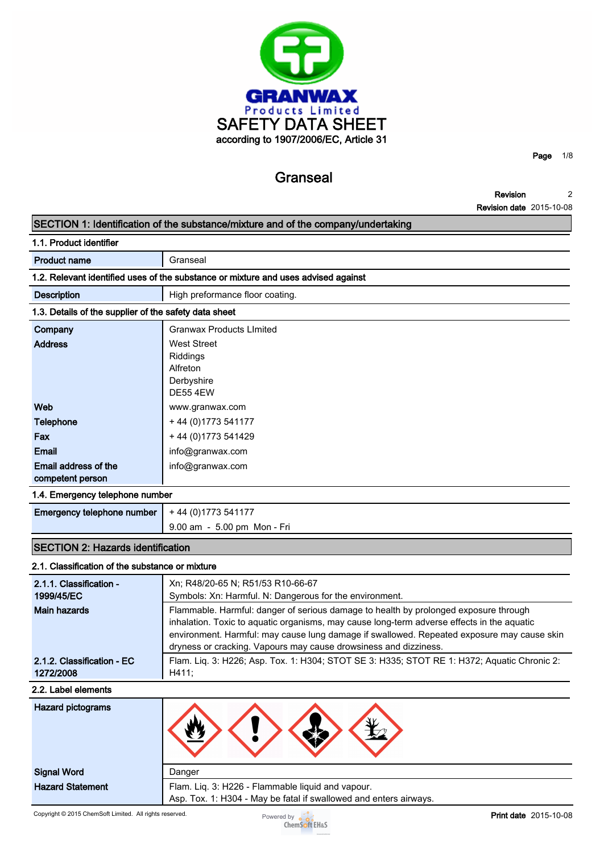

**Granseal**

**Page 1/8**

**Revision Revision date 2015-10-08 2**

|                                                       | <b>Revision date</b> ZU 13-10-00<br>SECTION 1: Identification of the substance/mixture and of the company/undertaking                                           |
|-------------------------------------------------------|-----------------------------------------------------------------------------------------------------------------------------------------------------------------|
| 1.1. Product identifier                               |                                                                                                                                                                 |
|                                                       |                                                                                                                                                                 |
| <b>Product name</b>                                   | Granseal                                                                                                                                                        |
|                                                       | 1.2. Relevant identified uses of the substance or mixture and uses advised against                                                                              |
| <b>Description</b>                                    | High preformance floor coating.                                                                                                                                 |
| 1.3. Details of the supplier of the safety data sheet |                                                                                                                                                                 |
| Company                                               | <b>Granwax Products Limited</b>                                                                                                                                 |
| <b>Address</b>                                        | <b>West Street</b>                                                                                                                                              |
|                                                       | Riddings                                                                                                                                                        |
|                                                       | Alfreton<br>Derbyshire                                                                                                                                          |
|                                                       | <b>DE55 4EW</b>                                                                                                                                                 |
| Web                                                   | www.granwax.com                                                                                                                                                 |
| Telephone                                             | + 44 (0) 1773 541177                                                                                                                                            |
| Fax                                                   | +44 (0) 1773 541429                                                                                                                                             |
| <b>Email</b>                                          | info@granwax.com                                                                                                                                                |
| Email address of the                                  | info@granwax.com                                                                                                                                                |
| competent person                                      |                                                                                                                                                                 |
| 1.4. Emergency telephone number                       |                                                                                                                                                                 |
| Emergency telephone number                            | + 44 (0) 1773 541177                                                                                                                                            |
|                                                       | 9.00 am - 5.00 pm Mon - Fri                                                                                                                                     |
| <b>SECTION 2: Hazards identification</b>              |                                                                                                                                                                 |
| 2.1. Classification of the substance or mixture       |                                                                                                                                                                 |
| 2.1.1. Classification -                               | Xn; R48/20-65 N; R51/53 R10-66-67                                                                                                                               |
| 1999/45/EC                                            | Symbols: Xn: Harmful. N: Dangerous for the environment.                                                                                                         |
| <b>Main hazards</b>                                   | Flammable. Harmful: danger of serious damage to health by prolonged exposure through                                                                            |
|                                                       | inhalation. Toxic to aquatic organisms, may cause long-term adverse effects in the aquatic                                                                      |
|                                                       | environment. Harmful: may cause lung damage if swallowed. Repeated exposure may cause skin                                                                      |
| 2.1.2. Classification - EC                            | dryness or cracking. Vapours may cause drowsiness and dizziness.<br>Flam. Liq. 3: H226; Asp. Tox. 1: H304; STOT SE 3: H335; STOT RE 1: H372; Aquatic Chronic 2: |
| 1272/2008                                             | H411;                                                                                                                                                           |
| 2.2. Label elements                                   |                                                                                                                                                                 |
| <b>Hazard pictograms</b>                              |                                                                                                                                                                 |
|                                                       |                                                                                                                                                                 |
|                                                       |                                                                                                                                                                 |
| <b>Signal Word</b>                                    | Danger                                                                                                                                                          |
| <b>Hazard Statement</b>                               | Flam. Liq. 3: H226 - Flammable liquid and vapour.                                                                                                               |
|                                                       | Asp. Tox. 1: H304 - May be fatal if swallowed and enters airways.                                                                                               |
|                                                       |                                                                                                                                                                 |

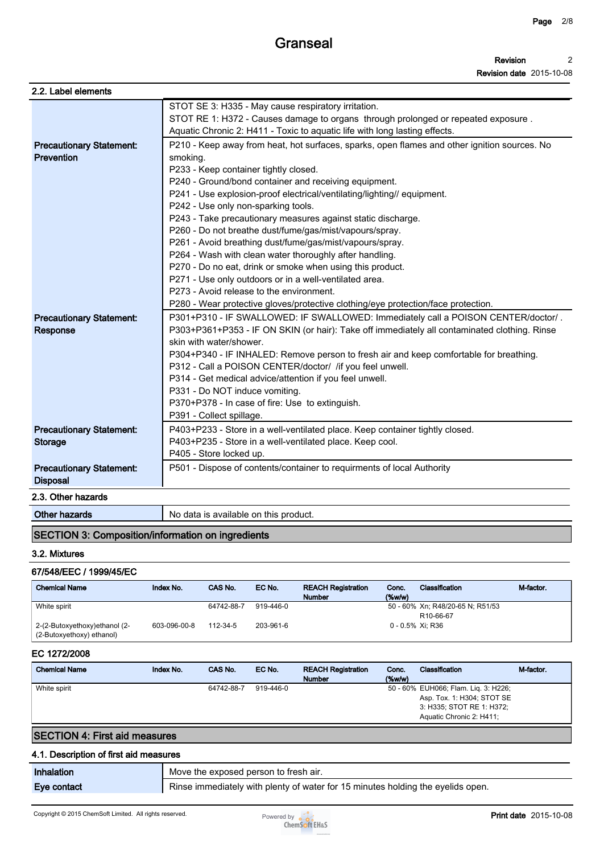| 2.2. Label elements                                  |                                                                                                                                                                                                                        |
|------------------------------------------------------|------------------------------------------------------------------------------------------------------------------------------------------------------------------------------------------------------------------------|
|                                                      | STOT SE 3: H335 - May cause respiratory irritation.<br>STOT RE 1: H372 - Causes damage to organs through prolonged or repeated exposure.<br>Aquatic Chronic 2: H411 - Toxic to aquatic life with long lasting effects. |
| <b>Precautionary Statement:</b><br><b>Prevention</b> | P210 - Keep away from heat, hot surfaces, sparks, open flames and other ignition sources. No<br>smoking.                                                                                                               |
|                                                      | P233 - Keep container tightly closed.<br>P240 - Ground/bond container and receiving equipment.                                                                                                                         |
|                                                      | P241 - Use explosion-proof electrical/ventilating/lighting// equipment.                                                                                                                                                |
|                                                      | P242 - Use only non-sparking tools.                                                                                                                                                                                    |
|                                                      | P243 - Take precautionary measures against static discharge.                                                                                                                                                           |
|                                                      | P260 - Do not breathe dust/fume/gas/mist/vapours/spray.                                                                                                                                                                |
|                                                      | P261 - Avoid breathing dust/fume/gas/mist/vapours/spray.                                                                                                                                                               |
|                                                      | P264 - Wash with clean water thoroughly after handling.                                                                                                                                                                |
|                                                      | P270 - Do no eat, drink or smoke when using this product.                                                                                                                                                              |
|                                                      | P271 - Use only outdoors or in a well-ventilated area.                                                                                                                                                                 |
|                                                      | P273 - Avoid release to the environment.                                                                                                                                                                               |
|                                                      | P280 - Wear protective gloves/protective clothing/eye protection/face protection.                                                                                                                                      |
| <b>Precautionary Statement:</b><br><b>Response</b>   | P301+P310 - IF SWALLOWED: IF SWALLOWED: Immediately call a POISON CENTER/doctor/.<br>P303+P361+P353 - IF ON SKIN (or hair): Take off immediately all contaminated clothing. Rinse<br>skin with water/shower.           |
|                                                      | P304+P340 - IF INHALED: Remove person to fresh air and keep comfortable for breathing.                                                                                                                                 |
|                                                      | P312 - Call a POISON CENTER/doctor/ /if you feel unwell.                                                                                                                                                               |
|                                                      | P314 - Get medical advice/attention if you feel unwell.                                                                                                                                                                |
|                                                      | P331 - Do NOT induce vomiting.                                                                                                                                                                                         |
|                                                      | P370+P378 - In case of fire: Use to extinguish.                                                                                                                                                                        |
|                                                      | P391 - Collect spillage.                                                                                                                                                                                               |
| <b>Precautionary Statement:</b>                      | P403+P233 - Store in a well-ventilated place. Keep container tightly closed.                                                                                                                                           |
| <b>Storage</b>                                       | P403+P235 - Store in a well-ventilated place. Keep cool.                                                                                                                                                               |
|                                                      | P405 - Store locked up.                                                                                                                                                                                                |
| <b>Precautionary Statement:</b><br><b>Disposal</b>   | P501 - Dispose of contents/container to requirments of local Authority                                                                                                                                                 |
| 2.3. Other hazards                                   |                                                                                                                                                                                                                        |
| <b>Other hazards</b>                                 | No data is available on this product.                                                                                                                                                                                  |

#### **SECTION 3: Composition/information on ingredients**

#### **3.2. Mixtures**

#### **67/548/EEC / 1999/45/EC**

| <b>Chemical Name</b>                                        | Index No.    | CAS No.    | EC No.    | <b>REACH Registration</b><br><b>Number</b> | Conc.<br>$(\%w/w)$ | Classification                                                     | M-factor. |
|-------------------------------------------------------------|--------------|------------|-----------|--------------------------------------------|--------------------|--------------------------------------------------------------------|-----------|
| White spirit                                                |              | 64742-88-7 | 919-446-0 |                                            |                    | 50 - 60% Xn; R48/20-65 N; R51/53<br>R <sub>10-66-67</sub>          |           |
| 2-(2-Butoxyethoxy) ethanol (2-<br>(2-Butoxyethoxy) ethanol) | 603-096-00-8 | 112-34-5   | 203-961-6 |                                            |                    | $0 - 0.5\%$ Xi: R36                                                |           |
| EC 1272/2008                                                |              |            |           |                                            |                    |                                                                    |           |
| <b>Chemical Name</b>                                        | Index No.    | CAS No.    | EC No.    | <b>REACH Registration</b><br><b>Number</b> | Conc.<br>$(\%w/w)$ | Classification                                                     | M-factor. |
| White spirit                                                |              | 64742-88-7 | 919-446-0 |                                            |                    | 50 - 60% EUH066; Flam. Lig. 3: H226;<br>Asp. Tox. 1: H304; STOT SE |           |

## **SECTION 4: First aid measures**

#### **4.1. Description of first aid measures**

| Inhalation  | Move the exposed person to fresh air.                                           |
|-------------|---------------------------------------------------------------------------------|
| Eye contact | Rinse immediately with plenty of water for 15 minutes holding the eyelids open. |



**3: H335; STOT RE 1: H372; Aquatic Chronic 2: H411;**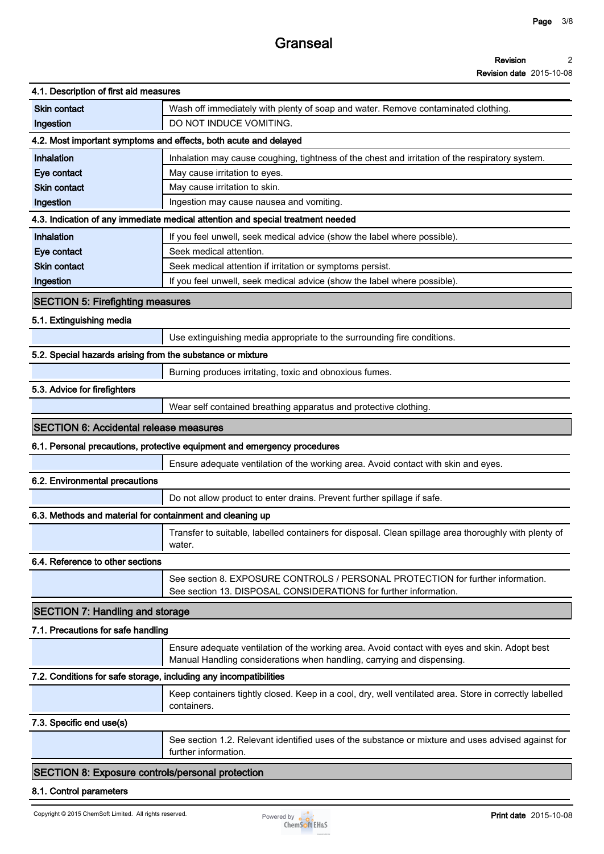**Page 3/8**

**Revision date 2015-10-08**

| 4.1. Description of first aid measures                            |                                                                                                                                                                         |
|-------------------------------------------------------------------|-------------------------------------------------------------------------------------------------------------------------------------------------------------------------|
| <b>Skin contact</b>                                               | Wash off immediately with plenty of soap and water. Remove contaminated clothing.                                                                                       |
| Ingestion                                                         | DO NOT INDUCE VOMITING.                                                                                                                                                 |
|                                                                   | 4.2. Most important symptoms and effects, both acute and delayed                                                                                                        |
| <b>Inhalation</b>                                                 | Inhalation may cause coughing, tightness of the chest and irritation of the respiratory system.                                                                         |
| Eye contact                                                       | May cause irritation to eyes.                                                                                                                                           |
| <b>Skin contact</b>                                               | May cause irritation to skin.                                                                                                                                           |
| Ingestion                                                         | Ingestion may cause nausea and vomiting.                                                                                                                                |
|                                                                   | 4.3. Indication of any immediate medical attention and special treatment needed                                                                                         |
| Inhalation                                                        | If you feel unwell, seek medical advice (show the label where possible).                                                                                                |
| Eye contact                                                       | Seek medical attention.                                                                                                                                                 |
| <b>Skin contact</b>                                               | Seek medical attention if irritation or symptoms persist.                                                                                                               |
| Ingestion                                                         | If you feel unwell, seek medical advice (show the label where possible).                                                                                                |
| <b>SECTION 5: Firefighting measures</b>                           |                                                                                                                                                                         |
| 5.1. Extinguishing media                                          |                                                                                                                                                                         |
|                                                                   | Use extinguishing media appropriate to the surrounding fire conditions.                                                                                                 |
| 5.2. Special hazards arising from the substance or mixture        |                                                                                                                                                                         |
|                                                                   | Burning produces irritating, toxic and obnoxious fumes.                                                                                                                 |
| 5.3. Advice for firefighters                                      |                                                                                                                                                                         |
|                                                                   | Wear self contained breathing apparatus and protective clothing.                                                                                                        |
|                                                                   |                                                                                                                                                                         |
| <b>SECTION 6: Accidental release measures</b>                     |                                                                                                                                                                         |
|                                                                   | 6.1. Personal precautions, protective equipment and emergency procedures                                                                                                |
|                                                                   | Ensure adequate ventilation of the working area. Avoid contact with skin and eyes.                                                                                      |
| 6.2. Environmental precautions                                    |                                                                                                                                                                         |
|                                                                   | Do not allow product to enter drains. Prevent further spillage if safe.                                                                                                 |
| 6.3. Methods and material for containment and cleaning up         |                                                                                                                                                                         |
|                                                                   | Transfer to suitable, labelled containers for disposal. Clean spillage area thoroughly with plenty of<br>water.                                                         |
| 6.4. Reference to other sections                                  |                                                                                                                                                                         |
|                                                                   | See section 8. EXPOSURE CONTROLS / PERSONAL PROTECTION for further information.<br>See section 13. DISPOSAL CONSIDERATIONS for further information.                     |
| <b>SECTION 7: Handling and storage</b>                            |                                                                                                                                                                         |
| 7.1. Precautions for safe handling                                |                                                                                                                                                                         |
|                                                                   | Ensure adequate ventilation of the working area. Avoid contact with eyes and skin. Adopt best<br>Manual Handling considerations when handling, carrying and dispensing. |
| 7.2. Conditions for safe storage, including any incompatibilities |                                                                                                                                                                         |
|                                                                   | Keep containers tightly closed. Keep in a cool, dry, well ventilated area. Store in correctly labelled<br>containers.                                                   |
| 7.3. Specific end use(s)                                          |                                                                                                                                                                         |
|                                                                   | See section 1.2. Relevant identified uses of the substance or mixture and uses advised against for<br>further information.                                              |
| SECTION 8: Exposure controls/personal protection                  |                                                                                                                                                                         |
| 8.1. Control parameters                                           |                                                                                                                                                                         |
|                                                                   |                                                                                                                                                                         |

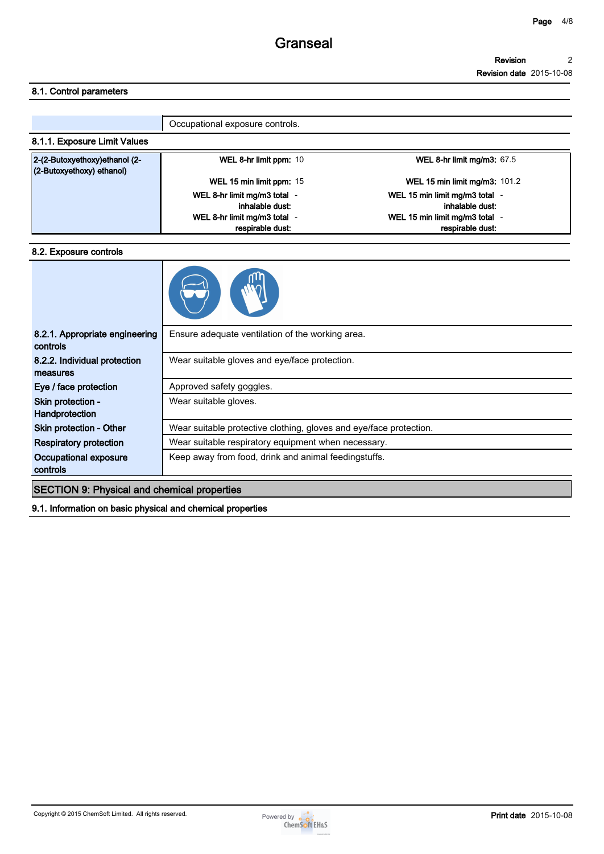#### **Revision 2**

**Revision date 2015-10-08**

#### **8.1. Control parameters**

|                                                            | Occupational exposure controls.                                                 |                                                                                     |
|------------------------------------------------------------|---------------------------------------------------------------------------------|-------------------------------------------------------------------------------------|
| 8.1.1. Exposure Limit Values                               |                                                                                 |                                                                                     |
| 2-(2-Butoxyethoxy)ethanol (2-<br>(2-Butoxyethoxy) ethanol) | WEL 8-hr limit ppm: 10                                                          | WEL 8-hr limit mg/m3: $67.5$                                                        |
|                                                            | WEL 15 min limit ppm: 15                                                        | <b>WEL 15 min limit mg/m3: 101.2</b>                                                |
|                                                            | WEL 8-hr limit mg/m3 total -<br>inhalable dust:<br>WEL 8-hr limit mg/m3 total - | WEL 15 min limit mg/m3 total -<br>inhalable dust:<br>WEL 15 min limit mg/m3 total - |
|                                                            | respirable dust:                                                                | respirable dust:                                                                    |

#### **8.2. Exposure controls**



| 8.2.1. Appropriate engineering<br>controls         | Ensure adequate ventilation of the working area.                   |
|----------------------------------------------------|--------------------------------------------------------------------|
|                                                    |                                                                    |
| 8.2.2. Individual protection                       | Wear suitable gloves and eye/face protection.                      |
| measures                                           |                                                                    |
| Eye / face protection                              | Approved safety goggles.                                           |
| Skin protection -                                  | Wear suitable gloves.                                              |
| Handprotection                                     |                                                                    |
| Skin protection - Other                            | Wear suitable protective clothing, gloves and eve/face protection. |
| <b>Respiratory protection</b>                      | Wear suitable respiratory equipment when necessary.                |
| Occupational exposure                              | Keep away from food, drink and animal feedingstuffs.               |
| controls                                           |                                                                    |
| <b>SECTION 9: Physical and chemical properties</b> |                                                                    |
|                                                    |                                                                    |

**9.1. Information on basic physical and chemical properties**

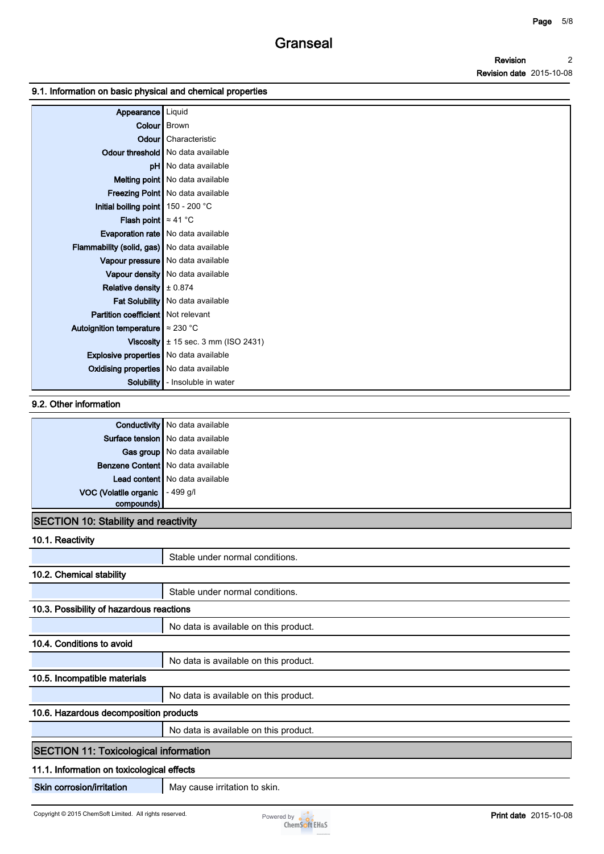#### **9.1. Information on basic physical and chemical properties**

| Appearance   Liquid                           |                                                |
|-----------------------------------------------|------------------------------------------------|
|                                               | Colour   Brown                                 |
|                                               | Odour   Characteristic                         |
|                                               | Odour threshold   No data available            |
|                                               | <b>pH</b> No data available                    |
|                                               | Melting point   No data available              |
|                                               | Freezing Point   No data available             |
| Initial boiling point 150 - 200 °C            |                                                |
| <b>Flash point</b> $\approx 41^{\circ}$ C     |                                                |
|                                               | Evaporation rate   No data available           |
| Flammability (solid, gas) No data available   |                                                |
|                                               | Vapour pressure   No data available            |
|                                               | Vapour density No data available               |
| Relative density $\pm 0.874$                  |                                                |
|                                               | Fat Solubility   No data available             |
| Partition coefficient   Not relevant          |                                                |
| Autoignition temperature $\approx 230$ °C     |                                                |
|                                               | <b>Viscosity</b> $\pm$ 15 sec. 3 mm (ISO 2431) |
| <b>Explosive properties</b> No data available |                                                |
| <b>Oxidising properties</b> No data available |                                                |
| Solubility                                    | - Insoluble in water                           |

#### **9.2. Other information**

|                                   | <b>Conductivity</b> No data available |
|-----------------------------------|---------------------------------------|
|                                   | Surface tension   No data available   |
|                                   | Gas group   No data available         |
|                                   | Benzene Content   No data available   |
|                                   | Lead content   No data available      |
| VOC (Volatile organic   - 499 g/l |                                       |
| compounds)                        |                                       |

### **SECTION 10: Stability and reactivity**

| 10.1. Reactivity                             |                                       |
|----------------------------------------------|---------------------------------------|
|                                              | Stable under normal conditions.       |
| 10.2. Chemical stability                     |                                       |
|                                              | Stable under normal conditions.       |
| 10.3. Possibility of hazardous reactions     |                                       |
|                                              | No data is available on this product. |
| 10.4. Conditions to avoid                    |                                       |
|                                              | No data is available on this product. |
| 10.5. Incompatible materials                 |                                       |
|                                              | No data is available on this product. |
| 10.6. Hazardous decomposition products       |                                       |
|                                              | No data is available on this product. |
| <b>SECTION 11: Toxicological information</b> |                                       |
| 11.1. Information on toxicological effects   |                                       |
| Skin corrosion/irritation                    | May cause irritation to skin.         |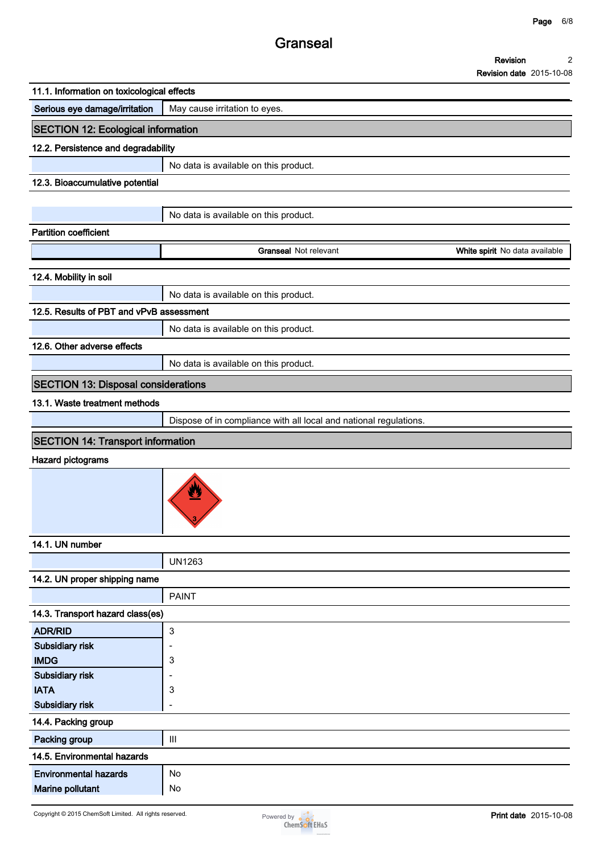# **Granseal**

| Revision                        |  |
|---------------------------------|--|
| <b>Revision date 2015-10-08</b> |  |

|                                            |                                                                   | <b>Revision date</b> ZU 13-10-00 |
|--------------------------------------------|-------------------------------------------------------------------|----------------------------------|
| 11.1. Information on toxicological effects |                                                                   |                                  |
| Serious eye damage/irritation              | May cause irritation to eyes.                                     |                                  |
| <b>SECTION 12: Ecological information</b>  |                                                                   |                                  |
| 12.2. Persistence and degradability        |                                                                   |                                  |
|                                            | No data is available on this product.                             |                                  |
| 12.3. Bioaccumulative potential            |                                                                   |                                  |
|                                            |                                                                   |                                  |
|                                            | No data is available on this product.                             |                                  |
| <b>Partition coefficient</b>               |                                                                   |                                  |
|                                            | <b>Granseal Not relevant</b>                                      | White spirit No data available   |
| 12.4. Mobility in soil                     |                                                                   |                                  |
|                                            | No data is available on this product.                             |                                  |
| 12.5. Results of PBT and vPvB assessment   |                                                                   |                                  |
|                                            | No data is available on this product.                             |                                  |
| 12.6. Other adverse effects                |                                                                   |                                  |
|                                            | No data is available on this product.                             |                                  |
|                                            |                                                                   |                                  |
| <b>SECTION 13: Disposal considerations</b> |                                                                   |                                  |
| 13.1. Waste treatment methods              |                                                                   |                                  |
|                                            | Dispose of in compliance with all local and national regulations. |                                  |
| <b>SECTION 14: Transport information</b>   |                                                                   |                                  |
| Hazard pictograms                          |                                                                   |                                  |
|                                            | U                                                                 |                                  |
| 14.1. UN number                            |                                                                   |                                  |
|                                            | <b>UN1263</b>                                                     |                                  |
| 14.2. UN proper shipping name              |                                                                   |                                  |
|                                            | <b>PAINT</b>                                                      |                                  |
| 14.3. Transport hazard class(es)           |                                                                   |                                  |
| <b>ADR/RID</b>                             | $\ensuremath{\mathsf{3}}$                                         |                                  |
| Subsidiary risk                            |                                                                   |                                  |
| <b>IMDG</b><br>Subsidiary risk             | 3                                                                 |                                  |
| <b>IATA</b>                                | 3                                                                 |                                  |
| Subsidiary risk                            | ۰                                                                 |                                  |
| 14.4. Packing group                        |                                                                   |                                  |
| Packing group                              | $\ensuremath{\mathsf{III}}\xspace$                                |                                  |
| 14.5. Environmental hazards                |                                                                   |                                  |
| <b>Environmental hazards</b>               | No                                                                |                                  |
| Marine pollutant                           | No                                                                |                                  |

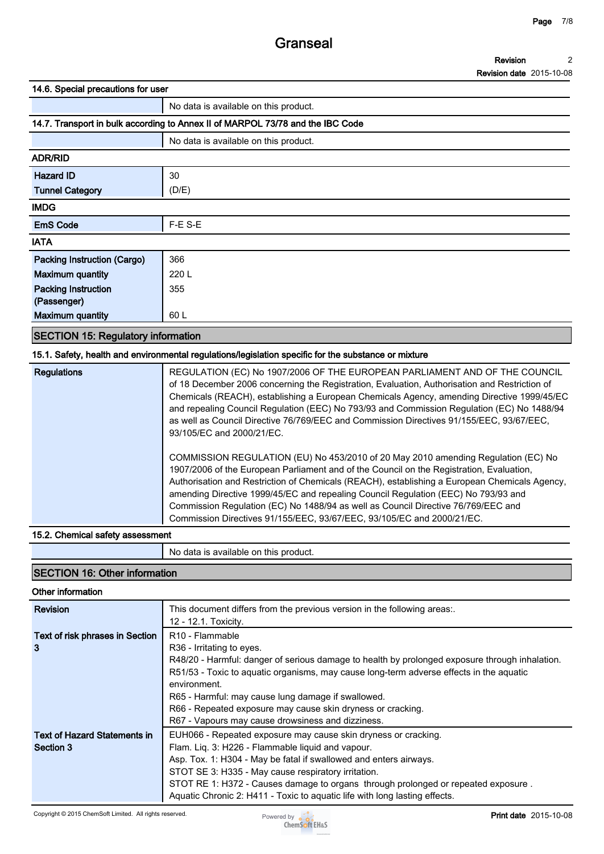#### **Revision 2**

**Revision date 2015-10-08**

**14.6. Special precautions for user**

|                                           | No data is available on this product.                                          |  |
|-------------------------------------------|--------------------------------------------------------------------------------|--|
|                                           | 14.7. Transport in bulk according to Annex II of MARPOL 73/78 and the IBC Code |  |
|                                           | No data is available on this product.                                          |  |
| <b>ADR/RID</b>                            | 30<br>(D/E)                                                                    |  |
| <b>Hazard ID</b>                          |                                                                                |  |
| <b>Tunnel Category</b>                    |                                                                                |  |
| <b>IMDG</b>                               |                                                                                |  |
| <b>EmS Code</b>                           | F-E S-E                                                                        |  |
| <b>IATA</b>                               |                                                                                |  |
| Packing Instruction (Cargo)               | 366                                                                            |  |
| <b>Maximum quantity</b>                   | 220 L                                                                          |  |
| <b>Packing Instruction</b>                | 355                                                                            |  |
| (Passenger)                               |                                                                                |  |
| <b>Maximum quantity</b>                   | 60 L                                                                           |  |
| <b>SECTION 15: Regulatory information</b> |                                                                                |  |

#### **15.1. Safety, health and environmental regulations/legislation specific for the substance or mixture**

| <b>Regulations</b> | REGULATION (EC) No 1907/2006 OF THE EUROPEAN PARLIAMENT AND OF THE COUNCIL<br>of 18 December 2006 concerning the Registration, Evaluation, Authorisation and Restriction of<br>Chemicals (REACH), establishing a European Chemicals Agency, amending Directive 1999/45/EC<br>and repealing Council Regulation (EEC) No 793/93 and Commission Regulation (EC) No 1488/94<br>as well as Council Directive 76/769/EEC and Commission Directives 91/155/EEC, 93/67/EEC,<br>93/105/EC and 2000/21/EC.                                    |
|--------------------|-------------------------------------------------------------------------------------------------------------------------------------------------------------------------------------------------------------------------------------------------------------------------------------------------------------------------------------------------------------------------------------------------------------------------------------------------------------------------------------------------------------------------------------|
|                    | COMMISSION REGULATION (EU) No 453/2010 of 20 May 2010 amending Regulation (EC) No<br>1907/2006 of the European Parliament and of the Council on the Registration, Evaluation,<br>Authorisation and Restriction of Chemicals (REACH), establishing a European Chemicals Agency,<br>amending Directive 1999/45/EC and repealing Council Regulation (EEC) No 793/93 and<br>Commission Regulation (EC) No 1488/94 as well as Council Directive 76/769/EEC and<br>Commission Directives 91/155/EEC, 93/67/EEC, 93/105/EC and 2000/21/EC. |

#### **15.2. Chemical safety assessment**

**No data is available on this product.**

## **SECTION 16: Other information**

### **Other information**

| <b>Revision</b>                 | This document differs from the previous version in the following areas:.                       |
|---------------------------------|------------------------------------------------------------------------------------------------|
|                                 | 12 - 12.1. Toxicity.                                                                           |
| Text of risk phrases in Section | R <sub>10</sub> - Flammable                                                                    |
| 3                               | R <sub>36</sub> - Irritating to eyes.                                                          |
|                                 | R48/20 - Harmful: danger of serious damage to health by prolonged exposure through inhalation. |
|                                 | R51/53 - Toxic to aquatic organisms, may cause long-term adverse effects in the aquatic        |
|                                 | environment.                                                                                   |
|                                 | R65 - Harmful: may cause lung damage if swallowed.                                             |
|                                 | R66 - Repeated exposure may cause skin dryness or cracking.                                    |
|                                 | R67 - Vapours may cause drowsiness and dizziness.                                              |
| Text of Hazard Statements in    | EUH066 - Repeated exposure may cause skin dryness or cracking.                                 |
| Section 3                       | Flam. Lig. 3: H226 - Flammable liguid and vapour.                                              |
|                                 | Asp. Tox. 1: H304 - May be fatal if swallowed and enters airways.                              |
|                                 | STOT SE 3: H335 - May cause respiratory irritation.                                            |
|                                 | STOT RE 1: H372 - Causes damage to organs through prolonged or repeated exposure.              |
|                                 | Aquatic Chronic 2: H411 - Toxic to aquatic life with long lasting effects.                     |